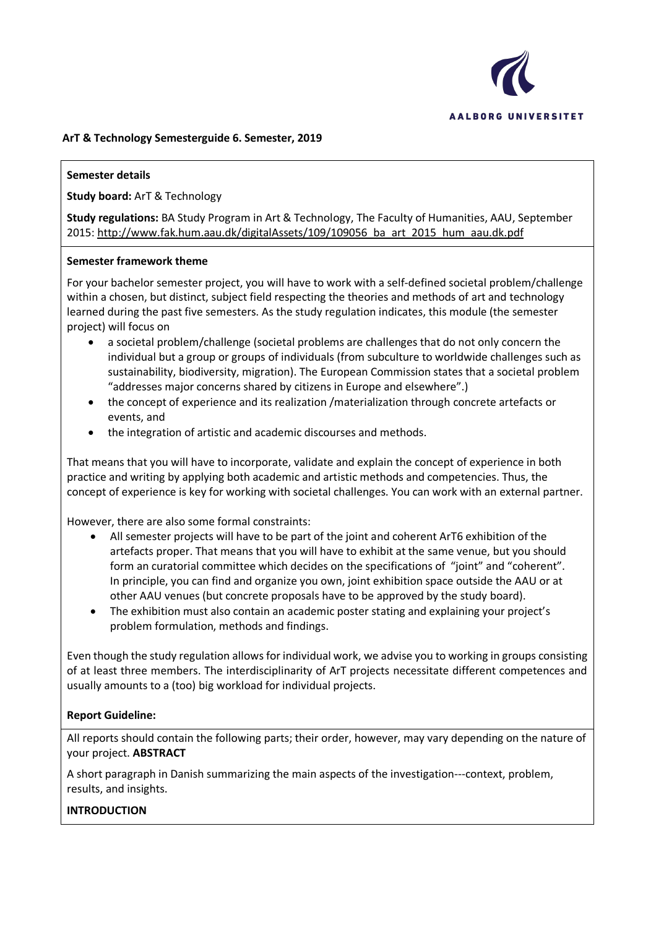

### **ArT & Technology Semesterguide 6. Semester, 2019**

### **Semester details**

**Study board:** ArT & Technology

**Study regulations:** BA Study Program in Art & Technology, The Faculty of Humanities, AAU, September 2015: http://www.fak.hum.aau.dk/digitalAssets/109/109056\_ba\_art\_2015\_hum\_aau.dk.pdf

#### **Semester framework theme**

For your bachelor semester project, you will have to work with a self-defined societal problem/challenge within a chosen, but distinct, subject field respecting the theories and methods of art and technology learned during the past five semesters. As the study regulation indicates, this module (the semester project) will focus on

- a societal problem/challenge (societal problems are challenges that do not only concern the individual but a group or groups of individuals (from subculture to worldwide challenges such as sustainability, biodiversity, migration). The European Commission states that a societal problem "addresses major concerns shared by citizens in Europe and elsewhere".)
- the concept of experience and its realization /materialization through concrete artefacts or events, and
- the integration of artistic and academic discourses and methods.

That means that you will have to incorporate, validate and explain the concept of experience in both practice and writing by applying both academic and artistic methods and competencies. Thus, the concept of experience is key for working with societal challenges. You can work with an external partner.

However, there are also some formal constraints:

- All semester projects will have to be part of the joint and coherent ArT6 exhibition of the artefacts proper. That means that you will have to exhibit at the same venue, but you should form an curatorial committee which decides on the specifications of "joint" and "coherent". In principle, you can find and organize you own, joint exhibition space outside the AAU or at other AAU venues (but concrete proposals have to be approved by the study board).
- The exhibition must also contain an academic poster stating and explaining your project's problem formulation, methods and findings.

Even though the study regulation allows for individual work, we advise you to working in groups consisting of at least three members. The interdisciplinarity of ArT projects necessitate different competences and usually amounts to a (too) big workload for individual projects.

### **Report Guideline:**

All reports should contain the following parts; their order, however, may vary depending on the nature of your project. **ABSTRACT**

A short paragraph in Danish summarizing the main aspects of the investigation---context, problem, results, and insights.

### **INTRODUCTION**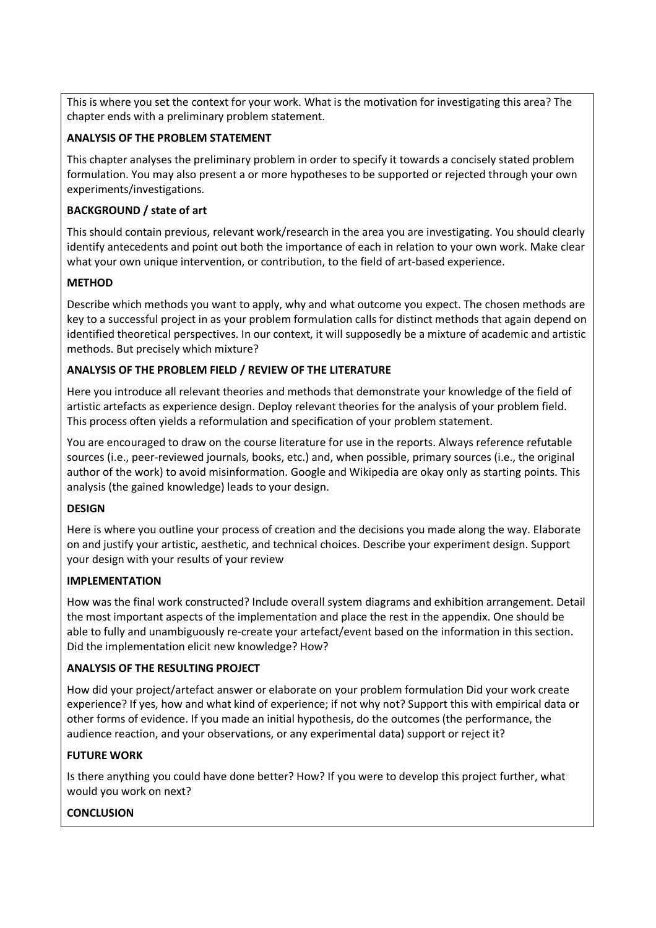This is where you set the context for your work. What is the motivation for investigating this area? The chapter ends with a preliminary problem statement.

### **ANALYSIS OF THE PROBLEM STATEMENT**

This chapter analyses the preliminary problem in order to specify it towards a concisely stated problem formulation. You may also present a or more hypotheses to be supported or rejected through your own experiments/investigations.

### **BACKGROUND / state of art**

This should contain previous, relevant work/research in the area you are investigating. You should clearly identify antecedents and point out both the importance of each in relation to your own work. Make clear what your own unique intervention, or contribution, to the field of art-based experience.

## **METHOD**

Describe which methods you want to apply, why and what outcome you expect. The chosen methods are key to a successful project in as your problem formulation calls for distinct methods that again depend on identified theoretical perspectives. In our context, it will supposedly be a mixture of academic and artistic methods. But precisely which mixture?

## **ANALYSIS OF THE PROBLEM FIELD / REVIEW OF THE LITERATURE**

Here you introduce all relevant theories and methods that demonstrate your knowledge of the field of artistic artefacts as experience design. Deploy relevant theories for the analysis of your problem field. This process often yields a reformulation and specification of your problem statement.

You are encouraged to draw on the course literature for use in the reports. Always reference refutable sources (i.e., peer-reviewed journals, books, etc.) and, when possible, primary sources (i.e., the original author of the work) to avoid misinformation. Google and Wikipedia are okay only as starting points. This analysis (the gained knowledge) leads to your design.

### **DESIGN**

Here is where you outline your process of creation and the decisions you made along the way. Elaborate on and justify your artistic, aesthetic, and technical choices. Describe your experiment design. Support your design with your results of your review

## **IMPLEMENTATION**

How was the final work constructed? Include overall system diagrams and exhibition arrangement. Detail the most important aspects of the implementation and place the rest in the appendix. One should be able to fully and unambiguously re-create your artefact/event based on the information in this section. Did the implementation elicit new knowledge? How?

### **ANALYSIS OF THE RESULTING PROJECT**

How did your project/artefact answer or elaborate on your problem formulation Did your work create experience? If yes, how and what kind of experience; if not why not? Support this with empirical data or other forms of evidence. If you made an initial hypothesis, do the outcomes (the performance, the audience reaction, and your observations, or any experimental data) support or reject it?

## **FUTURE WORK**

Is there anything you could have done better? How? If you were to develop this project further, what would you work on next?

## **CONCLUSION**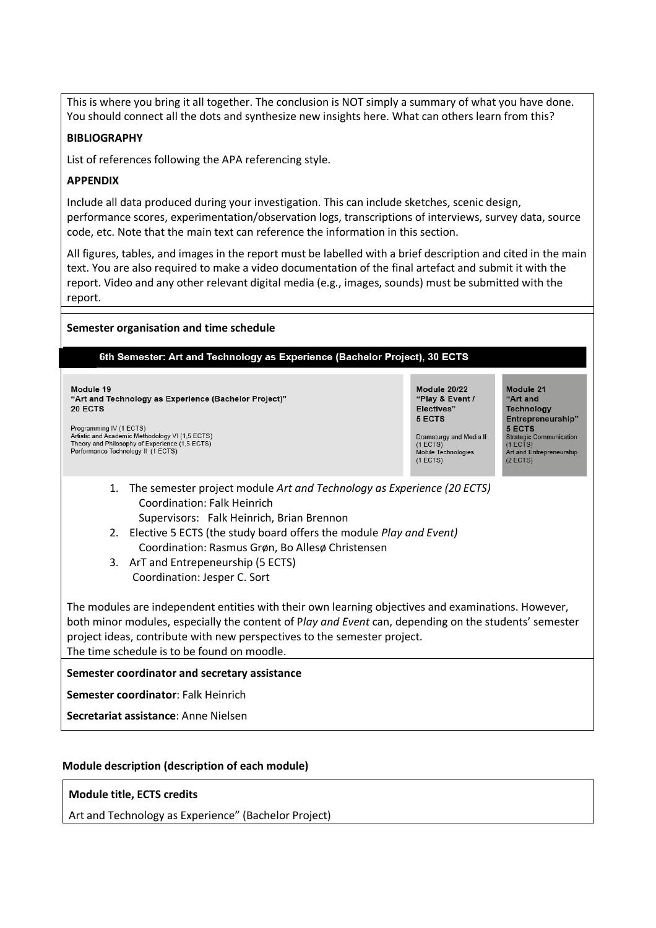This is where you bring it all together. The conclusion is NOT simply a summary of what you have done. You should connect all the dots and synthesize new insights here. What can others learn from this?

### **BIBLIOGRAPHY**

List of references following the APA referencing style.

### **APPENDIX**

Include all data produced during your investigation. This can include sketches, scenic design, performance scores, experimentation/observation logs, transcriptions of interviews, survey data, source code, etc. Note that the main text can reference the information in this section.

All figures, tables, and images in the report must be labelled with a brief description and cited in the main text. You are also required to make a video documentation of the final artefact and submit it with the report. Video and any other relevant digital media (e.g., images, sounds) must be submitted with the report.

### **Semester organisation and time schedule**

#### 6th Semester: Art and Technology as Experience (Bachelor Project), 30 ECTS

Module 19 "Art and Technology as Experience (Bachelor Project)" **20 ECTS** 

Programming IV (1 ECTS) Artistic and Academic Methodology VI (1,5 ECTS) Theory and Philosophy of Experience (1,5 ECTS) Performance Technology II (1 ECTS)

"Play & Event / Flectives" 5 ECTS

Module 20/22

Dramaturgy and Media II (1 ECTS)<br>Mobile Technologies  $(1 ECTS)$ 

Module 21 "Art and Technology Entrepreneurship" 5 ECTS Strategic Communication<br>(1 ECTS)<br>Art and Entrepreneurship  $(2 ECTS)$ 

- 1. The semester project module *Art and Technology as Experience (20 ECTS)* Coordination: Falk Heinrich
	- Supervisors: Falk Heinrich, Brian Brennon
- 2. Elective 5 ECTS (the study board offers the module *Play and Event)* Coordination: Rasmus Grøn, Bo Allesø Christensen
- 3. ArT and Entrepeneurship (5 ECTS) Coordination: Jesper C. Sort

The modules are independent entities with their own learning objectives and examinations. However, both minor modules, especially the content of P*lay and Event* can, depending on the students' semester project ideas, contribute with new perspectives to the semester project. The time schedule is to be found on moodle.

### **Semester coordinator and secretary assistance**

**Semester coordinator**: Falk Heinrich

**Secretariat assistance**: Anne Nielsen

### **Module description (description of each module)**

### **Module title, ECTS credits**

Art and Technology as Experience" (Bachelor Project)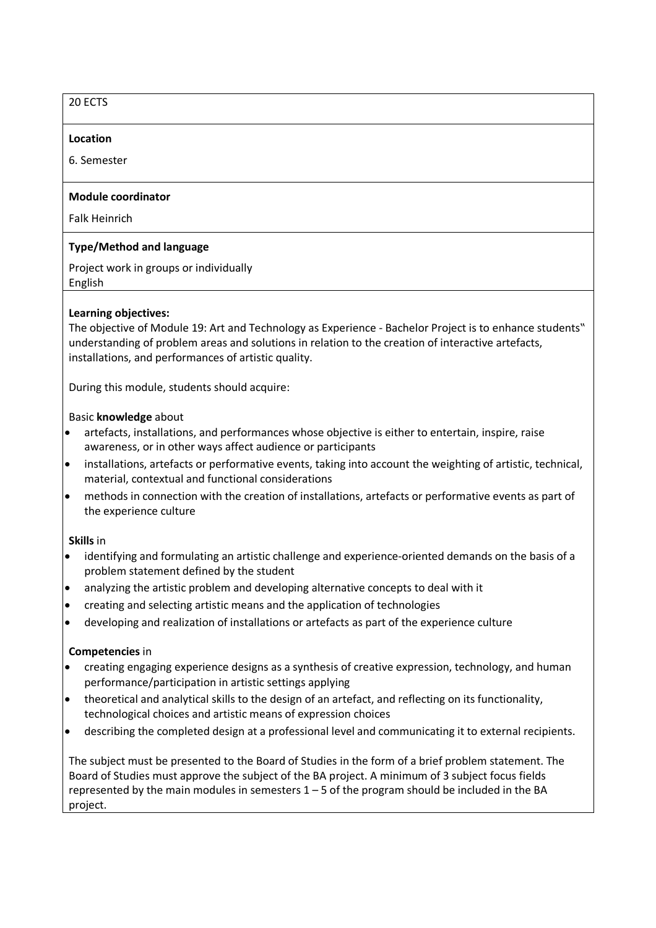## 20 ECTS

#### **Location**

6. Semester

### **Module coordinator**

Falk Heinrich

### **Type/Method and language**

Project work in groups or individually English

### **Learning objectives:**

The objective of Module 19: Art and Technology as Experience - Bachelor Project is to enhance students" understanding of problem areas and solutions in relation to the creation of interactive artefacts, installations, and performances of artistic quality.

During this module, students should acquire:

#### Basic **knowledge** about

- artefacts, installations, and performances whose objective is either to entertain, inspire, raise awareness, or in other ways affect audience or participants
- installations, artefacts or performative events, taking into account the weighting of artistic, technical, material, contextual and functional considerations
- methods in connection with the creation of installations, artefacts or performative events as part of the experience culture

### **Skills** in

- identifying and formulating an artistic challenge and experience-oriented demands on the basis of a problem statement defined by the student
- analyzing the artistic problem and developing alternative concepts to deal with it
- creating and selecting artistic means and the application of technologies
- developing and realization of installations or artefacts as part of the experience culture

### **Competencies** in

- creating engaging experience designs as a synthesis of creative expression, technology, and human performance/participation in artistic settings applying
- theoretical and analytical skills to the design of an artefact, and reflecting on its functionality, technological choices and artistic means of expression choices
- describing the completed design at a professional level and communicating it to external recipients.

The subject must be presented to the Board of Studies in the form of a brief problem statement. The Board of Studies must approve the subject of the BA project. A minimum of 3 subject focus fields represented by the main modules in semesters  $1 - 5$  of the program should be included in the BA project.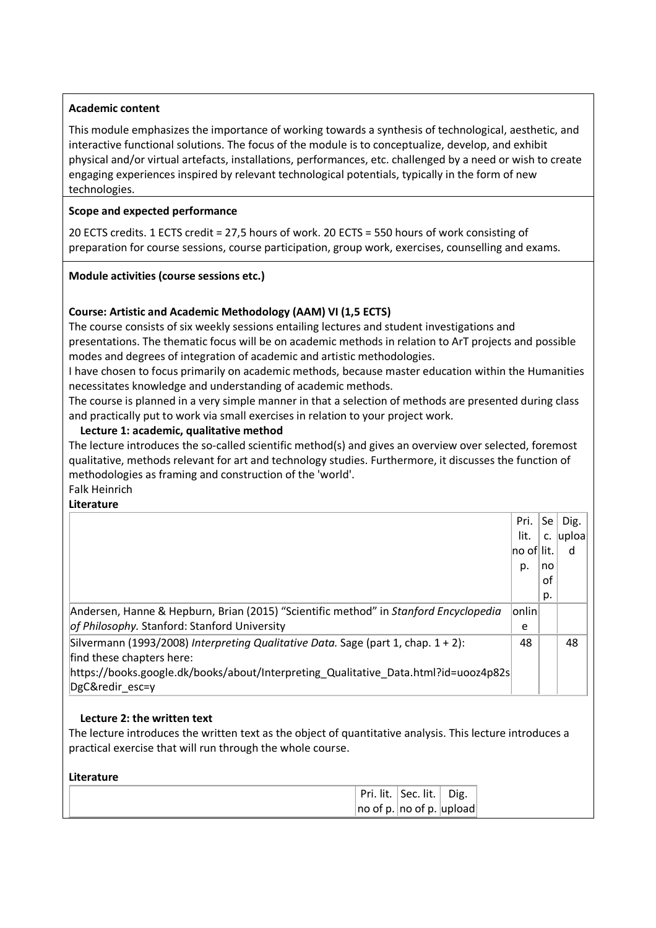### **Academic content**

This module emphasizes the importance of working towards a synthesis of technological, aesthetic, and interactive functional solutions. The focus of the module is to conceptualize, develop, and exhibit physical and/or virtual artefacts, installations, performances, etc. challenged by a need or wish to create engaging experiences inspired by relevant technological potentials, typically in the form of new technologies.

### **Scope and expected performance**

20 ECTS credits. 1 ECTS credit = 27,5 hours of work. 20 ECTS = 550 hours of work consisting of preparation for course sessions, course participation, group work, exercises, counselling and exams.

### **Module activities (course sessions etc.)**

## **Course: Artistic and Academic Methodology (AAM) VI (1,5 ECTS)**

The course consists of six weekly sessions entailing lectures and student investigations and presentations. The thematic focus will be on academic methods in relation to ArT projects and possible modes and degrees of integration of academic and artistic methodologies.

I have chosen to focus primarily on academic methods, because master education within the Humanities necessitates knowledge and understanding of academic methods.

The course is planned in a very simple manner in that a selection of methods are presented during class and practically put to work via small exercises in relation to your project work.

### **Lecture 1: academic, qualitative method**

The lecture introduces the so-called scientific method(s) and gives an overview over selected, foremost qualitative, methods relevant for art and technology studies. Furthermore, it discusses the function of methodologies as framing and construction of the 'world'.

Falk Heinrich **Literature**

|                                                                                      | Pri.          | Se | Dig.  |
|--------------------------------------------------------------------------------------|---------------|----|-------|
|                                                                                      | lit.          | c. | uploa |
|                                                                                      | ∣no of∣ lit.  |    | d     |
|                                                                                      | p.            | no |       |
|                                                                                      |               | οf |       |
|                                                                                      |               | p. |       |
| Andersen, Hanne & Hepburn, Brian (2015) "Scientific method" in Stanford Encyclopedia | $ $ onlin $ $ |    |       |
| of Philosophy. Stanford: Stanford University                                         | e             |    |       |
| Silvermann (1993/2008) Interpreting Qualitative Data. Sage (part 1, chap. 1 + 2):    | 48            |    | 48    |
| find these chapters here:                                                            |               |    |       |
| https://books.google.dk/books/about/Interpreting Qualitative Data.html?id=uooz4p82s  |               |    |       |
| DgC&redir esc=y                                                                      |               |    |       |

### **Lecture 2: the written text**

The lecture introduces the written text as the object of quantitative analysis. This lecture introduces a practical exercise that will run through the whole course.

| Literature |                                   |  |
|------------|-----------------------------------|--|
|            | Pri. lit.   Sec. lit.   Dig.      |  |
|            | $ no$ of p. $ no$ of p. $ upload$ |  |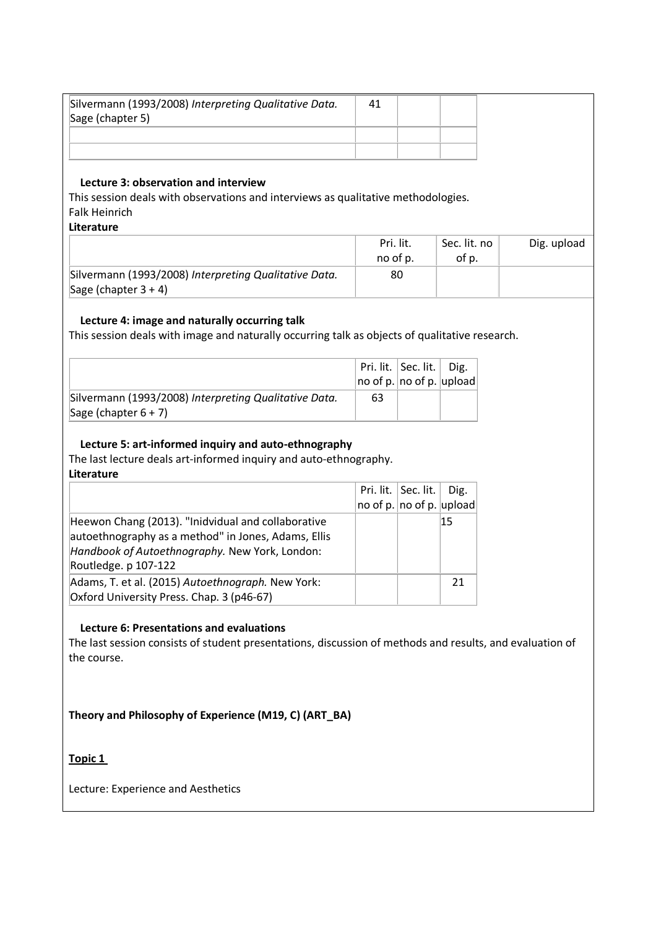| Silvermann (1993/2008) Interpreting Qualitative Data.<br>Sage (chapter 5) | 41 |  |
|---------------------------------------------------------------------------|----|--|
|                                                                           |    |  |
|                                                                           |    |  |

### **Lecture 3: observation and interview**

This session deals with observations and interviews as qualitative methodologies. Falk Heinrich

**Literature**

|                                                                                  | Pri. lit.<br>no of p. | Sec. lit. no<br>of p. | Dig. upload |
|----------------------------------------------------------------------------------|-----------------------|-----------------------|-------------|
| Silvermann (1993/2008) Interpreting Qualitative Data.<br>Sage (chapter $3 + 4$ ) | 80                    |                       |             |

## **Lecture 4: image and naturally occurring talk**

This session deals with image and naturally occurring talk as objects of qualitative research.

|                                                       |                                    | Pri. lit.   Sec. lit.   Dig. |  |
|-------------------------------------------------------|------------------------------------|------------------------------|--|
|                                                       | $ no$ of p. $ no$ of p. $ upload $ |                              |  |
| Silvermann (1993/2008) Interpreting Qualitative Data. | 63                                 |                              |  |
| Sage (chapter $6 + 7$ )                               |                                    |                              |  |

## **Lecture 5: art-informed inquiry and auto-ethnography**

The last lecture deals art-informed inquiry and auto-ethnography.

**Literature**

|                                                     | Pri. lit.   Sec. lit. $\vert$ Dig. |     |
|-----------------------------------------------------|------------------------------------|-----|
|                                                     | no of p. $ no$ of p. $ upload $    |     |
| Heewon Chang (2013). "Inidvidual and collaborative  |                                    | '15 |
| autoethnography as a method" in Jones, Adams, Ellis |                                    |     |
| Handbook of Autoethnography. New York, London:      |                                    |     |
| Routledge. p 107-122                                |                                    |     |
| Adams, T. et al. (2015) Autoethnograph. New York:   |                                    |     |
| Oxford University Press. Chap. 3 (p46-67)           |                                    |     |

### **Lecture 6: Presentations and evaluations**

The last session consists of student presentations, discussion of methods and results, and evaluation of the course.

## **Theory and Philosophy of Experience (M19, C) (ART\_BA)**

**Topic 1** 

Lecture: Experience and Aesthetics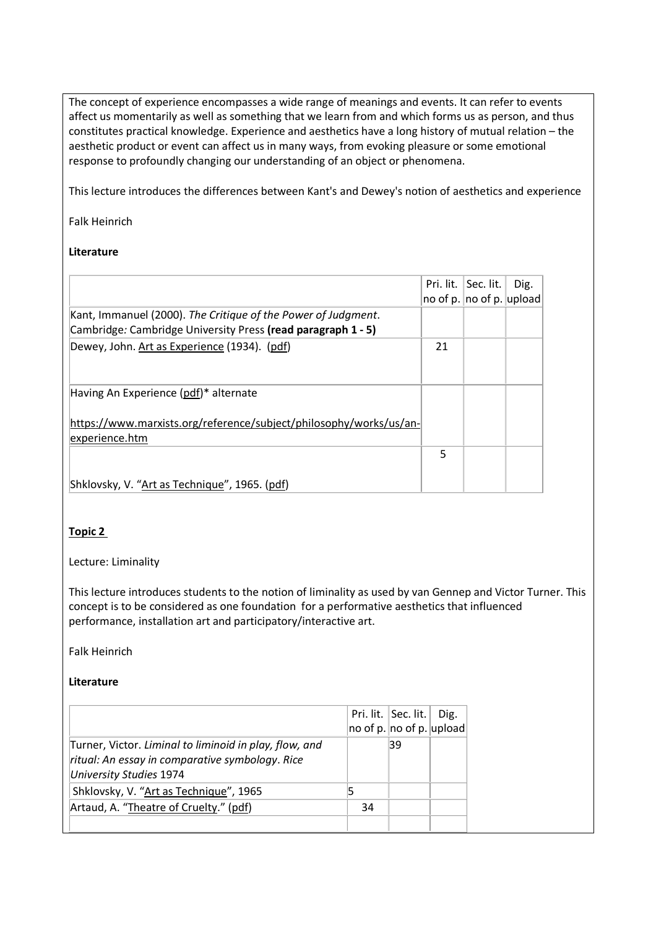The concept of experience encompasses a wide range of meanings and events. It can refer to events affect us momentarily as well as something that we learn from and which forms us as person, and thus constitutes practical knowledge. Experience and aesthetics have a long history of mutual relation – the aesthetic product or event can affect us in many ways, from evoking pleasure or some emotional response to profoundly changing our understanding of an object or phenomena.

This lecture introduces the differences between Kant's and Dewey's notion of aesthetics and experience

### Falk Heinrich

### **Literature**

|                                                                                                                               |    | Pri. lit.   Sec. lit.<br>no of p. $ no$ of p. $ upload $ | Dig. |
|-------------------------------------------------------------------------------------------------------------------------------|----|----------------------------------------------------------|------|
| Kant, Immanuel (2000). The Critique of the Power of Judgment.<br>Cambridge: Cambridge University Press (read paragraph 1 - 5) |    |                                                          |      |
| Dewey, John. Art as Experience (1934). (pdf)                                                                                  | 21 |                                                          |      |
| Having An Experience (pdf)* alternate                                                                                         |    |                                                          |      |
| https://www.marxists.org/reference/subject/philosophy/works/us/an-<br>experience.htm                                          |    |                                                          |      |
|                                                                                                                               | 5  |                                                          |      |
| Shklovsky, V. "Art as Technique", 1965. (pdf)                                                                                 |    |                                                          |      |

## **Topic 2**

### Lecture: Liminality

This lecture introduces students to the notion of liminality as used by van Gennep and Victor Turner. This concept is to be considered as one foundation for a performative aesthetics that influenced performance, installation art and participatory/interactive art.

Falk Heinrich

## **Literature**

|                                                                                                                                      |                                    | Pri. lit.   Sec. lit. | Dig. |
|--------------------------------------------------------------------------------------------------------------------------------------|------------------------------------|-----------------------|------|
|                                                                                                                                      | $ no$ of p. $ no$ of p. $ upload $ |                       |      |
| Turner, Victor. Liminal to liminoid in play, flow, and<br>ritual: An essay in comparative symbology. Rice<br>University Studies 1974 |                                    | 39                    |      |
| Shklovsky, V. "Art as Technique", 1965                                                                                               |                                    |                       |      |
| Artaud, A. "Theatre of Cruelty." (pdf)                                                                                               | 34                                 |                       |      |
|                                                                                                                                      |                                    |                       |      |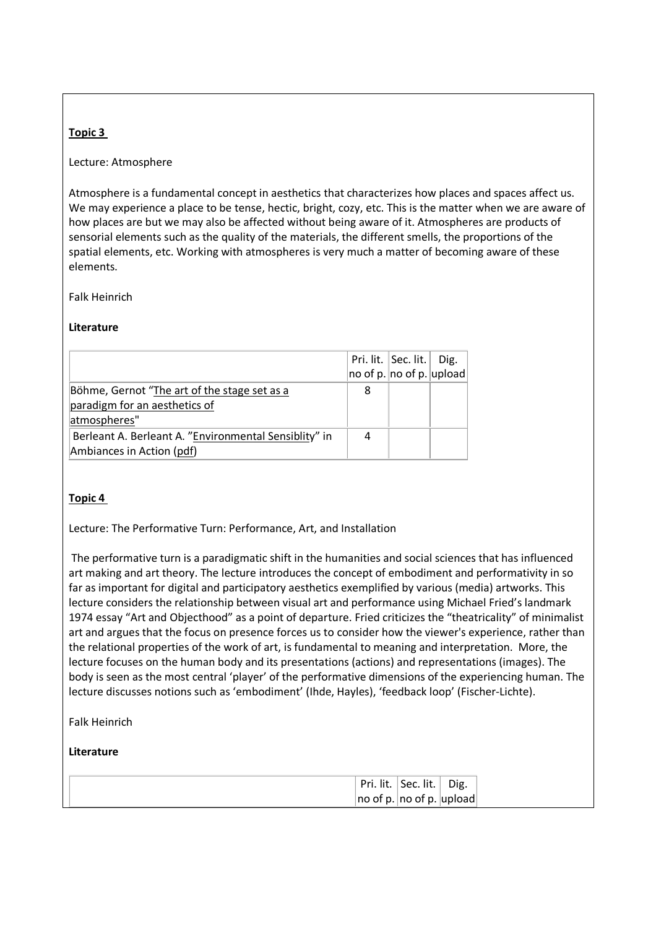### **Topic 3**

### Lecture: Atmosphere

Atmosphere is a fundamental concept in aesthetics that characterizes how places and spaces affect us. We may experience a place to be tense, hectic, bright, cozy, etc. This is the matter when we are aware of how places are but we may also be affected without being aware of it. Atmospheres are products of sensorial elements such as the quality of the materials, the different smells, the proportions of the spatial elements, etc. Working with atmospheres is very much a matter of becoming aware of these elements.

Falk Heinrich

### **Literature**

|                                                       |   | Pri. lit.   Sec. lit.   Dig.      |  |
|-------------------------------------------------------|---|-----------------------------------|--|
|                                                       |   | $ no$ of p. $ no$ of p. $ upload$ |  |
| Böhme, Gernot "The art of the stage set as a          | 8 |                                   |  |
| paradigm for an aesthetics of                         |   |                                   |  |
| atmospheres"                                          |   |                                   |  |
| Berleant A. Berleant A. "Environmental Sensiblity" in |   |                                   |  |
| Ambiances in Action (pdf)                             |   |                                   |  |

### **Topic 4**

Lecture: The Performative Turn: Performance, Art, and Installation

The performative turn is a paradigmatic shift in the humanities and social sciences that has influenced art making and art theory. The lecture introduces the concept of embodiment and performativity in so far as important for digital and participatory aesthetics exemplified by various (media) artworks. This lecture considers the relationship between visual art and performance using Michael Fried's landmark 1974 essay "Art and Objecthood" as a point of departure. Fried criticizes the "theatricality" of minimalist art and argues that the focus on presence forces us to consider how the viewer's experience, rather than the relational properties of the work of art, is fundamental to meaning and interpretation. More, the lecture focuses on the human body and its presentations (actions) and representations (images). The body is seen as the most central 'player' of the performative dimensions of the experiencing human. The lecture discusses notions such as 'embodiment' (Ihde, Hayles), 'feedback loop' (Fischer-Lichte).

Falk Heinrich

### **Literature**

|  | Pri. lit.   Sec. lit.   Dig.       |  |
|--|------------------------------------|--|
|  | $ no$ of p. $ no$ of p. $ upload $ |  |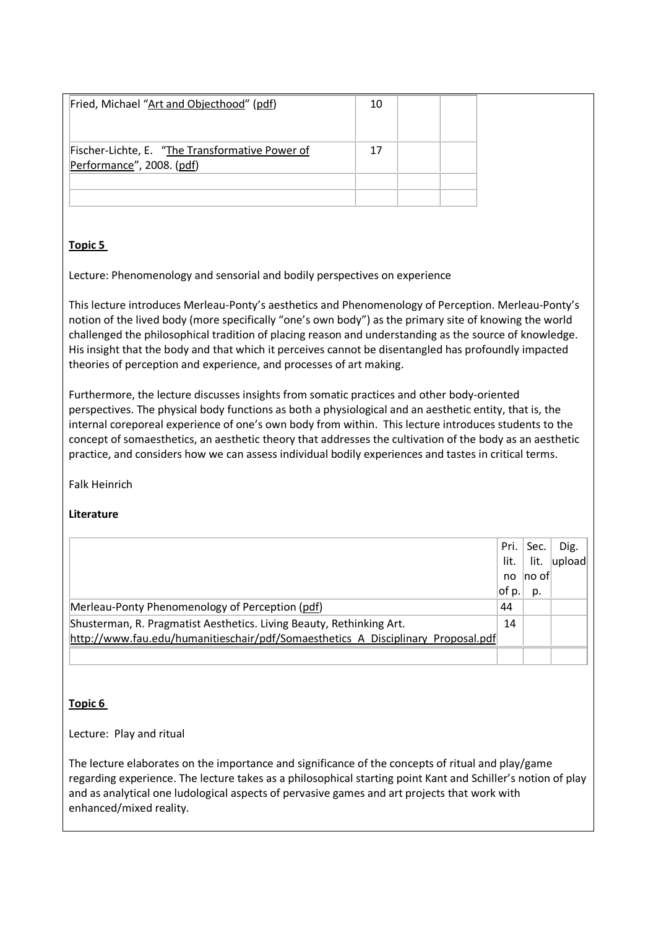| Fried, Michael "Art and Objecthood" (pdf)       | 10 |  |
|-------------------------------------------------|----|--|
|                                                 |    |  |
| Fischer-Lichte, E. "The Transformative Power of | 17 |  |
| Performance", 2008. (pdf)                       |    |  |
|                                                 |    |  |
|                                                 |    |  |

# **Topic 5**

Lecture: Phenomenology and sensorial and bodily perspectives on experience

This lecture introduces Merleau-Ponty's aesthetics and Phenomenology of Perception. Merleau-Ponty's notion of the lived body (more specifically "one's own body") as the primary site of knowing the world challenged the philosophical tradition of placing reason and understanding as the source of knowledge. His insight that the body and that which it perceives cannot be disentangled has profoundly impacted theories of perception and experience, and processes of art making.

Furthermore, the lecture discusses insights from somatic practices and other body-oriented perspectives. The physical body functions as both a physiological and an aesthetic entity, that is, the internal coreporeal experience of one's own body from within. This lecture introduces students to the concept of somaesthetics, an aesthetic theory that addresses the cultivation of the body as an aesthetic practice, and considers how we can assess individual bodily experiences and tastes in critical terms.

Falk Heinrich

# **Literature**

|                                                                                  | Pri. I | Sec.                | Dig.   |
|----------------------------------------------------------------------------------|--------|---------------------|--------|
|                                                                                  | lit.   | lit.                | upload |
|                                                                                  | no     | $\sf no$ of $\sf I$ |        |
|                                                                                  | ot p.  | p.                  |        |
| Merleau-Ponty Phenomenology of Perception (pdf)                                  | 44     |                     |        |
| Shusterman, R. Pragmatist Aesthetics. Living Beauty, Rethinking Art.             | 14     |                     |        |
| http://www.fau.edu/humanitieschair/pdf/Somaesthetics A Disciplinary Proposal.pdf |        |                     |        |
|                                                                                  |        |                     |        |

# **Topic 6**

Lecture: Play and ritual

The lecture elaborates on the importance and significance of the concepts of ritual and play/game regarding experience. The lecture takes as a philosophical starting point Kant and Schiller's notion of play and as analytical one ludological aspects of pervasive games and art projects that work with enhanced/mixed reality.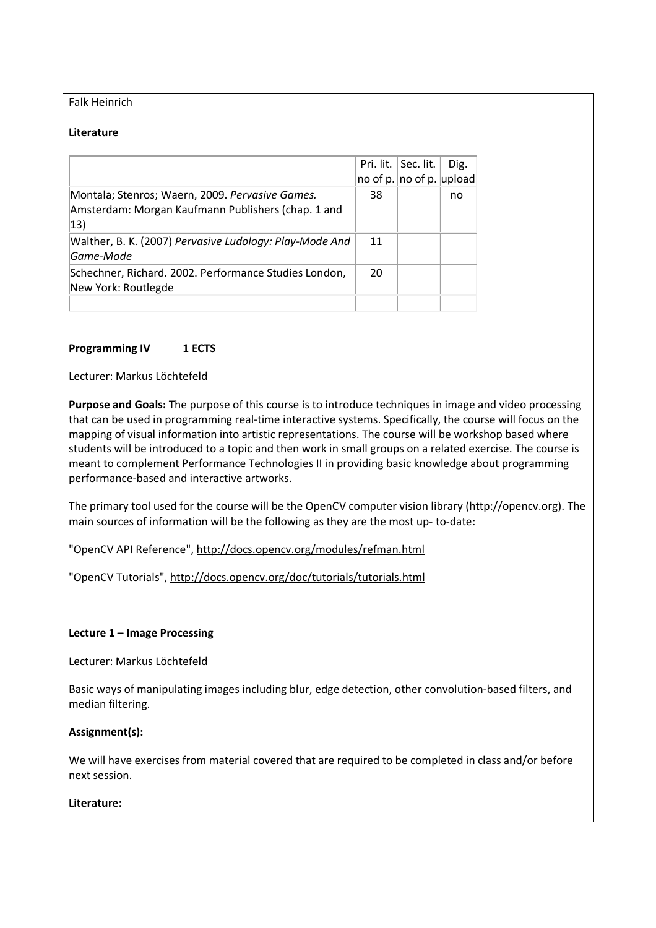### Falk Heinrich

#### **Literature**

|                                                                                                                       |    | Pri. lit.   Sec. lit.<br>no of p. $ no$ of p. $ upload $ | Dig. |
|-----------------------------------------------------------------------------------------------------------------------|----|----------------------------------------------------------|------|
| Montala; Stenros; Waern, 2009. Pervasive Games.<br>Amsterdam: Morgan Kaufmann Publishers (chap. 1 and<br>$ 13\rangle$ | 38 |                                                          | no   |
| Walther, B. K. (2007) Pervasive Ludology: Play-Mode And<br>Game-Mode                                                  | 11 |                                                          |      |
| Schechner, Richard. 2002. Performance Studies London,<br>New York: Routlegde                                          | 20 |                                                          |      |
|                                                                                                                       |    |                                                          |      |

### **Programming IV 1 ECTS**

Lecturer: Markus Löchtefeld

**Purpose and Goals:** The purpose of this course is to introduce techniques in image and video processing that can be used in programming real-time interactive systems. Specifically, the course will focus on the mapping of visual information into artistic representations. The course will be workshop based where students will be introduced to a topic and then work in small groups on a related exercise. The course is meant to complement Performance Technologies II in providing basic knowledge about programming performance-based and interactive artworks.

The primary tool used for the course will be the OpenCV computer vision library (http://opencv.org). The main sources of information will be the following as they are the most up- to-date:

"OpenCV API Reference", http://docs.opencv.org/modules/refman.html

"OpenCV Tutorials", http://docs.opencv.org/doc/tutorials/tutorials.html

### **Lecture 1 – Image Processing**

Lecturer: Markus Löchtefeld

Basic ways of manipulating images including blur, edge detection, other convolution-based filters, and median filtering.

### **Assignment(s):**

We will have exercises from material covered that are required to be completed in class and/or before next session.

#### **Literature:**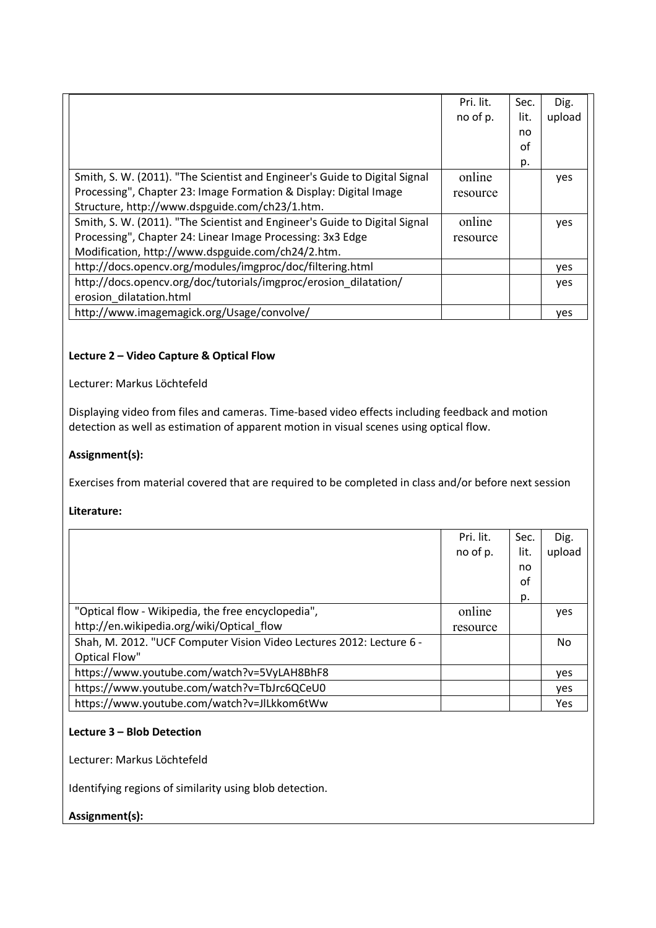|                                                                            | Pri. lit. | Sec. | Dig.   |
|----------------------------------------------------------------------------|-----------|------|--------|
|                                                                            | no of p.  | lit. | upload |
|                                                                            |           | no.  |        |
|                                                                            |           | οf   |        |
|                                                                            |           | p.   |        |
| Smith, S. W. (2011). "The Scientist and Engineer's Guide to Digital Signal | online    |      | yes    |
| Processing", Chapter 23: Image Formation & Display: Digital Image          | resource  |      |        |
| Structure, http://www.dspguide.com/ch23/1.htm.                             |           |      |        |
| Smith, S. W. (2011). "The Scientist and Engineer's Guide to Digital Signal | online    |      | yes    |
| Processing", Chapter 24: Linear Image Processing: 3x3 Edge                 | resource  |      |        |
| Modification, http://www.dspguide.com/ch24/2.htm.                          |           |      |        |
| http://docs.opencv.org/modules/imgproc/doc/filtering.html                  |           |      | yes    |
| http://docs.opencv.org/doc/tutorials/imgproc/erosion dilatation/           |           |      | yes    |
| erosion dilatation.html                                                    |           |      |        |
| http://www.imagemagick.org/Usage/convolve/                                 |           |      | yes    |

# **Lecture 2 – Video Capture & Optical Flow**

Lecturer: Markus Löchtefeld

Displaying video from files and cameras. Time-based video effects including feedback and motion detection as well as estimation of apparent motion in visual scenes using optical flow.

### **Assignment(s):**

Exercises from material covered that are required to be completed in class and/or before next session

### **Literature:**

|                                                                      | Pri. lit. | Sec. | Dig.       |
|----------------------------------------------------------------------|-----------|------|------------|
|                                                                      | no of p.  | lit. | upload     |
|                                                                      |           | no   |            |
|                                                                      |           | οf   |            |
|                                                                      |           | p.   |            |
| "Optical flow - Wikipedia, the free encyclopedia",                   | online    |      | yes        |
| http://en.wikipedia.org/wiki/Optical_flow                            | resource  |      |            |
| Shah, M. 2012. "UCF Computer Vision Video Lectures 2012: Lecture 6 - |           |      | No         |
| Optical Flow"                                                        |           |      |            |
| https://www.youtube.com/watch?v=5VyLAH8BhF8                          |           |      | <b>ves</b> |
| https://www.youtube.com/watch?v=TbJrc6QCeU0                          |           |      | yes        |
| https://www.youtube.com/watch?v=JlLkkom6tWw                          |           |      | Yes        |

# **Lecture 3 – Blob Detection**

Lecturer: Markus Löchtefeld

Identifying regions of similarity using blob detection.

## **Assignment(s):**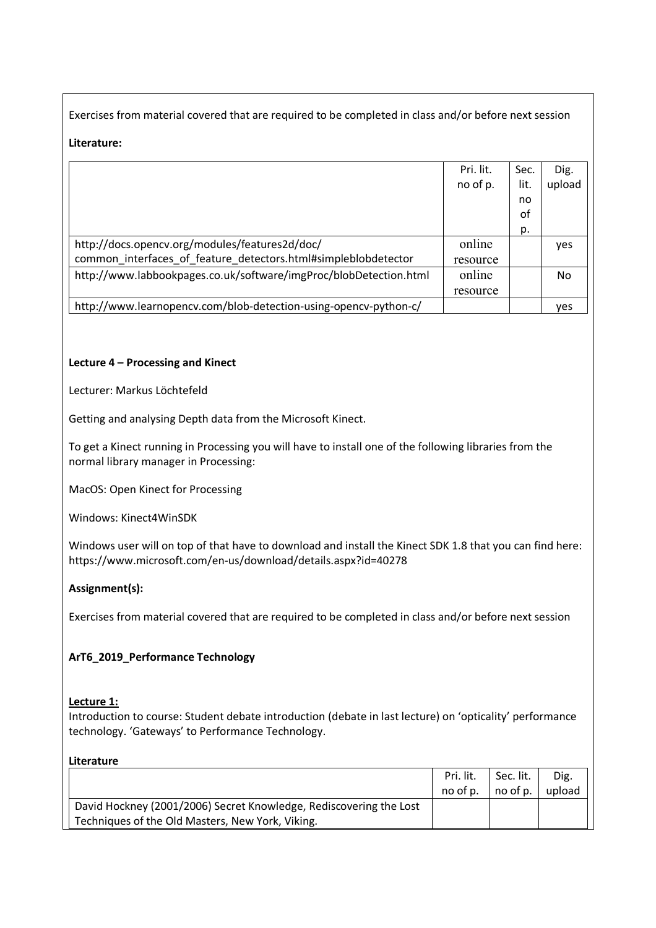Exercises from material covered that are required to be completed in class and/or before next session

# **Literature:**

|                                                                   | Pri. lit. | Sec. | Dig.   |
|-------------------------------------------------------------------|-----------|------|--------|
|                                                                   | no of p.  | lit. | upload |
|                                                                   |           | no   |        |
|                                                                   |           | οf   |        |
|                                                                   |           | p.   |        |
| http://docs.opencv.org/modules/features2d/doc/                    | online    |      | yes    |
| common interfaces of feature detectors.html#simpleblobdetector    | resource  |      |        |
| http://www.labbookpages.co.uk/software/imgProc/blobDetection.html | online    |      | No.    |
|                                                                   | resource  |      |        |
| http://www.learnopencv.com/blob-detection-using-opencv-python-c/  |           |      | ves    |

# **Lecture 4 – Processing and Kinect**

Lecturer: Markus Löchtefeld

Getting and analysing Depth data from the Microsoft Kinect.

To get a Kinect running in Processing you will have to install one of the following libraries from the normal library manager in Processing:

MacOS: Open Kinect for Processing

Windows: Kinect4WinSDK

Windows user will on top of that have to download and install the Kinect SDK 1.8 that you can find here: https://www.microsoft.com/en-us/download/details.aspx?id=40278

## **Assignment(s):**

Exercises from material covered that are required to be completed in class and/or before next session

## **ArT6\_2019\_Performance Technology**

### **Lecture 1:**

Introduction to course: Student debate introduction (debate in last lecture) on 'opticality' performance technology. 'Gateways' to Performance Technology.

### **Literature**

|                                                                    | Pri. lit. | Sec. lit. | Dig.   |
|--------------------------------------------------------------------|-----------|-----------|--------|
|                                                                    | no of p.  | no of p.  | upload |
| David Hockney (2001/2006) Secret Knowledge, Rediscovering the Lost |           |           |        |
| Techniques of the Old Masters, New York, Viking.                   |           |           |        |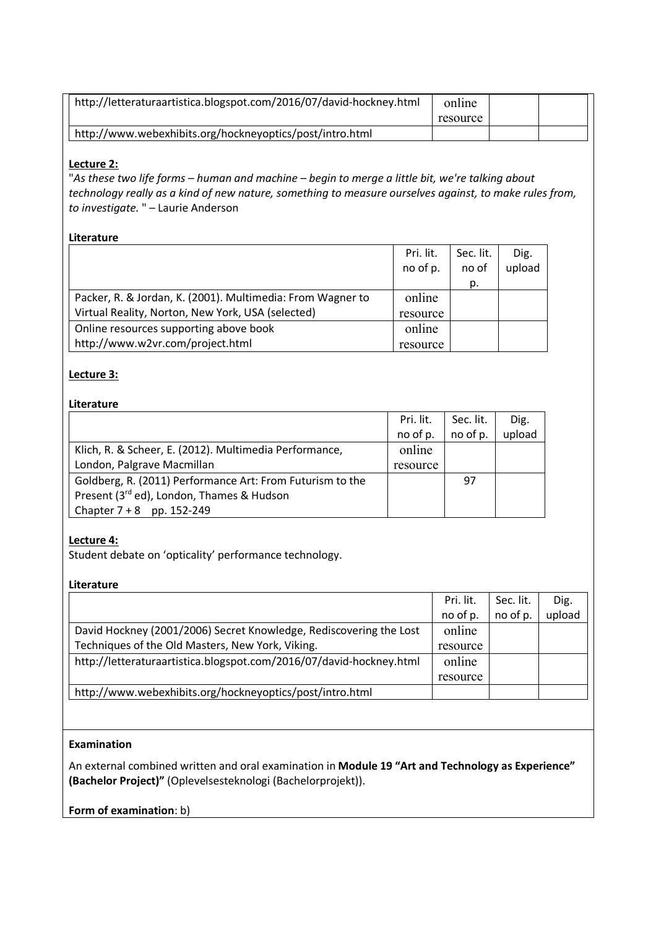| http://letteraturaartistica.blogspot.com/2016/07/david-hockney.html | online<br>resource |  |
|---------------------------------------------------------------------|--------------------|--|
| http://www.webexhibits.org/hockneyoptics/post/intro.html            |                    |  |

### **Lecture 2:**

"*As these two life forms – human and machine – begin to merge a little bit, we're talking about technology really as a kind of new nature, something to measure ourselves against, to make rules from, to investigate.* " – Laurie Anderson

### **Literature**

|                                                            | Pri. lit. | Sec. lit. | Dig.   |
|------------------------------------------------------------|-----------|-----------|--------|
|                                                            | no of p.  | no of     | upload |
|                                                            |           | p.        |        |
| Packer, R. & Jordan, K. (2001). Multimedia: From Wagner to | online    |           |        |
| Virtual Reality, Norton, New York, USA (selected)          | resource  |           |        |
| Online resources supporting above book                     | online    |           |        |
| http://www.w2vr.com/project.html                           | resource  |           |        |

### **Lecture 3:**

### **Literature**

|                                                           | Pri. lit. | Sec. lit. | Dig.   |
|-----------------------------------------------------------|-----------|-----------|--------|
|                                                           | no of p.  | no of p.  | upload |
| Klich, R. & Scheer, E. (2012). Multimedia Performance,    | online    |           |        |
| London, Palgrave Macmillan                                | resource  |           |        |
| Goldberg, R. (2011) Performance Art: From Futurism to the |           | 97        |        |
| Present (3rd ed), London, Thames & Hudson                 |           |           |        |
| Chapter $7 + 8$ pp. 152-249                               |           |           |        |

# **Lecture 4:**

Student debate on 'opticality' performance technology.

### **Literature**

|                                                                     | Pri. lit. | Sec. lit. | Dig.   |
|---------------------------------------------------------------------|-----------|-----------|--------|
|                                                                     | no of p.  | no of p.  | upload |
| David Hockney (2001/2006) Secret Knowledge, Rediscovering the Lost  | online    |           |        |
| Techniques of the Old Masters, New York, Viking.                    | resource  |           |        |
| http://letteraturaartistica.blogspot.com/2016/07/david-hockney.html | online    |           |        |
|                                                                     | resource  |           |        |
| http://www.webexhibits.org/hockneyoptics/post/intro.html            |           |           |        |

# **Examination**

An external combined written and oral examination in **Module 19 "Art and Technology as Experience" (Bachelor Project)"** (Oplevelsesteknologi (Bachelorprojekt)).

**Form of examination**: b)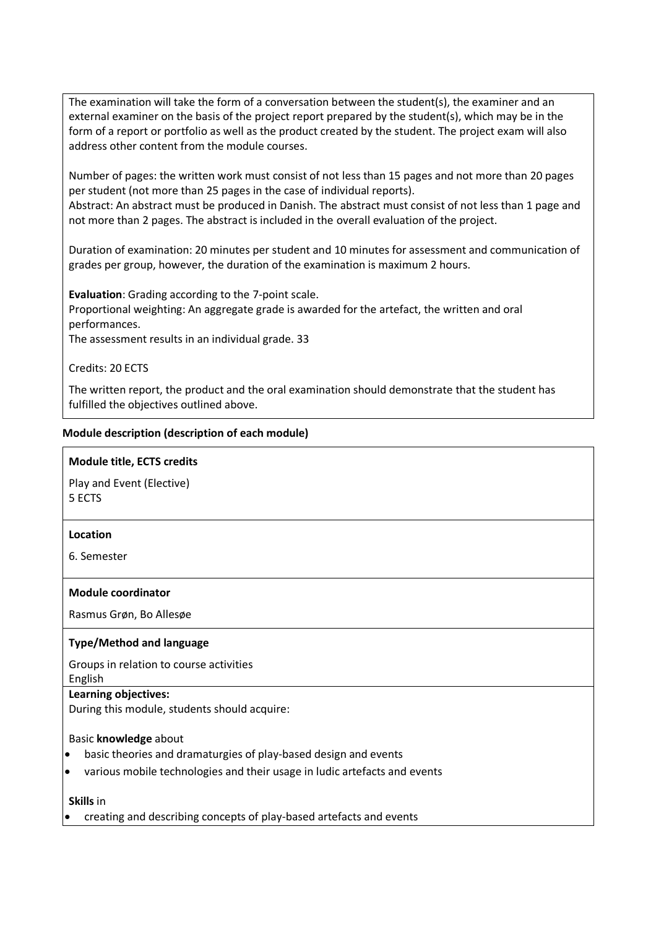The examination will take the form of a conversation between the student(s), the examiner and an external examiner on the basis of the project report prepared by the student(s), which may be in the form of a report or portfolio as well as the product created by the student. The project exam will also address other content from the module courses.

Number of pages: the written work must consist of not less than 15 pages and not more than 20 pages per student (not more than 25 pages in the case of individual reports).

Abstract: An abstract must be produced in Danish. The abstract must consist of not less than 1 page and not more than 2 pages. The abstract is included in the overall evaluation of the project.

Duration of examination: 20 minutes per student and 10 minutes for assessment and communication of grades per group, however, the duration of the examination is maximum 2 hours.

**Evaluation**: Grading according to the 7-point scale.

Proportional weighting: An aggregate grade is awarded for the artefact, the written and oral performances.

The assessment results in an individual grade. 33

Credits: 20 ECTS

The written report, the product and the oral examination should demonstrate that the student has fulfilled the objectives outlined above.

### **Module description (description of each module)**

### **Module title, ECTS credits**

Play and Event (Elective) 5 ECTS

### **Location**

6. Semester

### **Module coordinator**

Rasmus Grøn, Bo Allesøe

### **Type/Method and language**

Groups in relation to course activities

English

### **Learning objectives:**

During this module, students should acquire:

### Basic **knowledge** about

- basic theories and dramaturgies of play-based design and events
- various mobile technologies and their usage in ludic artefacts and events

**Skills** in

• creating and describing concepts of play-based artefacts and events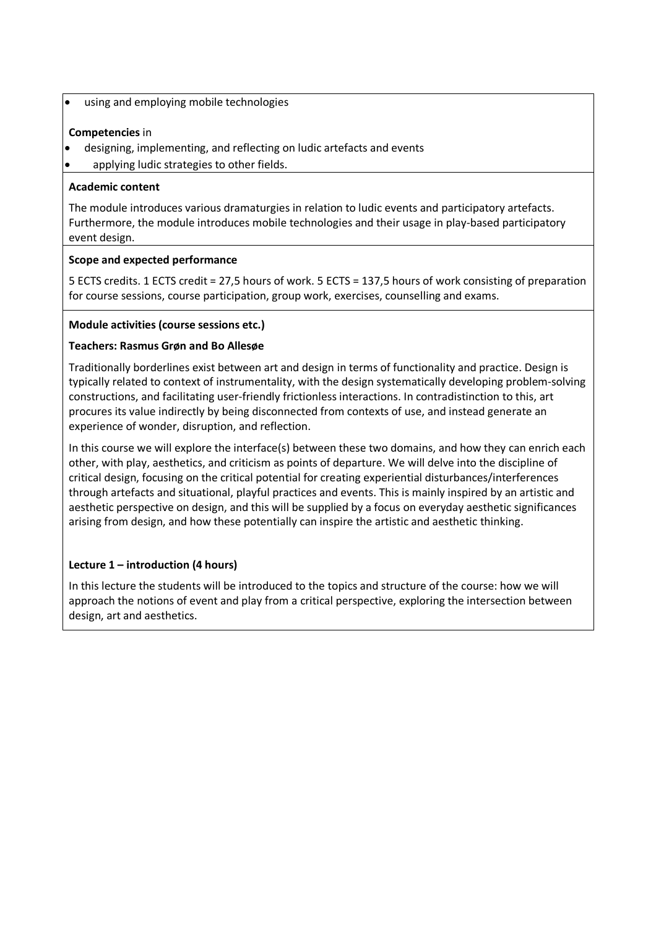• using and employing mobile technologies

# **Competencies** in

- designing, implementing, and reflecting on ludic artefacts and events
- applying ludic strategies to other fields.

# **Academic content**

The module introduces various dramaturgies in relation to ludic events and participatory artefacts. Furthermore, the module introduces mobile technologies and their usage in play-based participatory event design.

# **Scope and expected performance**

5 ECTS credits. 1 ECTS credit = 27,5 hours of work. 5 ECTS = 137,5 hours of work consisting of preparation for course sessions, course participation, group work, exercises, counselling and exams.

# **Module activities (course sessions etc.)**

# **Teachers: Rasmus Grøn and Bo Allesøe**

Traditionally borderlines exist between art and design in terms of functionality and practice. Design is typically related to context of instrumentality, with the design systematically developing problem-solving constructions, and facilitating user-friendly frictionless interactions. In contradistinction to this, art procures its value indirectly by being disconnected from contexts of use, and instead generate an experience of wonder, disruption, and reflection.

In this course we will explore the interface(s) between these two domains, and how they can enrich each other, with play, aesthetics, and criticism as points of departure. We will delve into the discipline of critical design, focusing on the critical potential for creating experiential disturbances/interferences through artefacts and situational, playful practices and events. This is mainly inspired by an artistic and aesthetic perspective on design, and this will be supplied by a focus on everyday aesthetic significances arising from design, and how these potentially can inspire the artistic and aesthetic thinking.

# **Lecture 1 – introduction (4 hours)**

In this lecture the students will be introduced to the topics and structure of the course: how we will approach the notions of event and play from a critical perspective, exploring the intersection between design, art and aesthetics.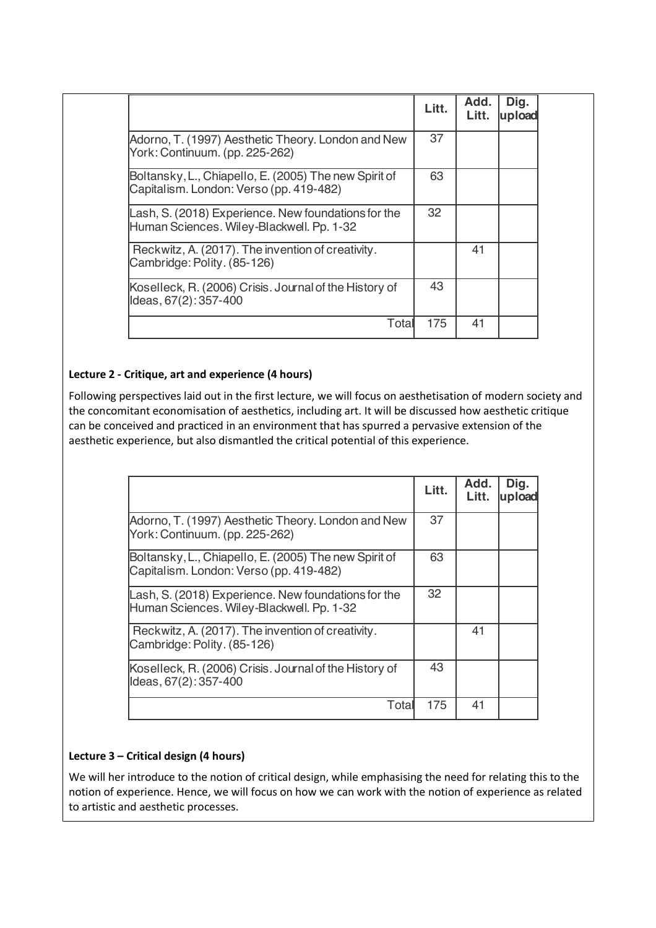|                                                                                                  | Litt. | Add.<br>Litt. | Dig.<br>upload |
|--------------------------------------------------------------------------------------------------|-------|---------------|----------------|
| Adorno, T. (1997) Aesthetic Theory. London and New<br>York: Continuum. (pp. 225-262)             | 37    |               |                |
| Boltansky, L., Chiapello, E. (2005) The new Spirit of<br>Capitalism. London: Verso (pp. 419-482) | 63    |               |                |
| Lash, S. (2018) Experience. New foundations for the<br>Human Sciences. Wiley-Blackwell. Pp. 1-32 | 32    |               |                |
| Reckwitz, A. (2017). The invention of creativity.<br>Cambridge: Polity. (85-126)                 |       | 41            |                |
| Koselleck, R. (2006) Crisis. Journal of the History of<br>Ideas, 67(2): 357-400                  | 43    |               |                |
| Total                                                                                            | 175   | 41            |                |

# **Lecture 2 - Critique, art and experience (4 hours)**

Following perspectives laid out in the first lecture, we will focus on aesthetisation of modern society and the concomitant economisation of aesthetics, including art. It will be discussed how aesthetic critique can be conceived and practiced in an environment that has spurred a pervasive extension of the aesthetic experience, but also dismantled the critical potential of this experience.

|                                                                                                  | Litt. | Add.<br>Litt. | Dig.<br><b>upload</b> |
|--------------------------------------------------------------------------------------------------|-------|---------------|-----------------------|
| Adorno, T. (1997) Aesthetic Theory. London and New<br>York: Continuum. (pp. 225-262)             | 37    |               |                       |
| Boltansky, L., Chiapello, E. (2005) The new Spirit of<br>Capitalism. London: Verso (pp. 419-482) | 63    |               |                       |
| Lash, S. (2018) Experience. New foundations for the<br>Human Sciences. Wiley-Blackwell. Pp. 1-32 | 32    |               |                       |
| Reckwitz, A. (2017). The invention of creativity.<br>Cambridge: Polity. (85-126)                 |       | 41            |                       |
| Koselleck, R. (2006) Crisis. Journal of the History of<br>Ideas, 67(2): 357-400                  | 43    |               |                       |
| Total                                                                                            | 175   | 41            |                       |

# **Lecture 3 – Critical design (4 hours)**

We will her introduce to the notion of critical design, while emphasising the need for relating this to the notion of experience. Hence, we will focus on how we can work with the notion of experience as related to artistic and aesthetic processes.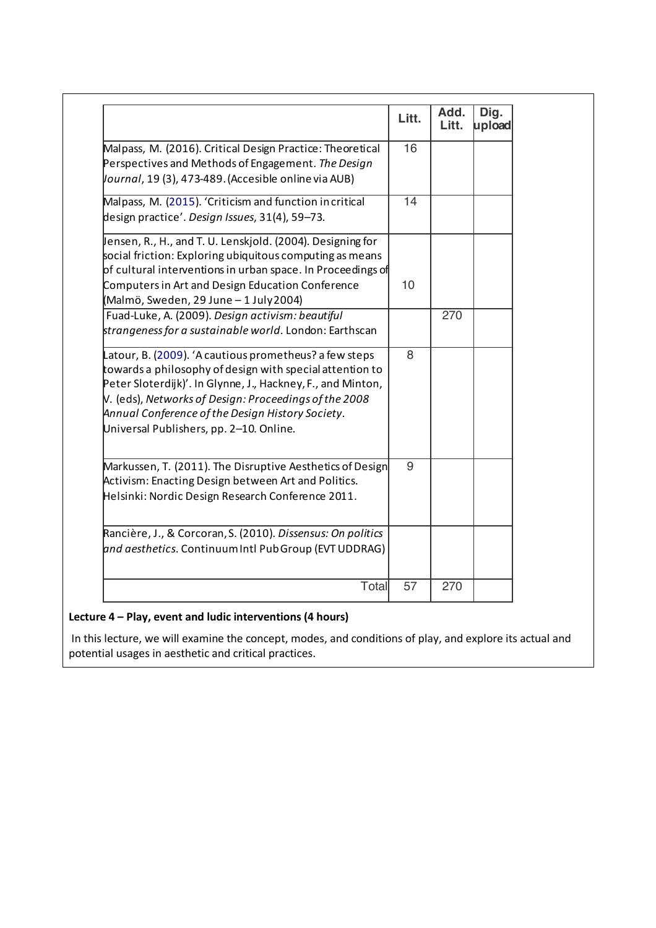|                                                                                                                                                                                                                                                                                                                                             | Litt. | Add.<br>Litt. | Dig.<br>upload |
|---------------------------------------------------------------------------------------------------------------------------------------------------------------------------------------------------------------------------------------------------------------------------------------------------------------------------------------------|-------|---------------|----------------|
| Malpass, M. (2016). Critical Design Practice: Theoretical<br>Perspectives and Methods of Engagement. The Design<br>Vournal, 19 (3), 473-489. (Accesible online via AUB)                                                                                                                                                                     | 16    |               |                |
| Malpass, M. (2015). 'Criticism and function incritical<br>design practice'. Design Issues, 31(4), 59-73.                                                                                                                                                                                                                                    | 14    |               |                |
| Jensen, R., H., and T. U. Lenskjold. (2004). Designing for<br>social friction: Exploring ubiquitous computing as means<br>of cultural interventions in urban space. In Proceedings of<br>Computers in Art and Design Education Conference<br>(Malmö, Sweden, 29 June – 1 July 2004)                                                         | 10    |               |                |
| Fuad-Luke, A. (2009). Design activism: beautiful<br>strangeness for a sustainable world. London: Earthscan                                                                                                                                                                                                                                  |       | 270           |                |
| Latour, B. (2009). 'A cautious prometheus? a few steps<br>towards a philosophy of design with special attention to<br>Peter Sloterdijk)'. In Glynne, J., Hackney, F., and Minton,<br>$V.$ (eds), Networks of Design: Proceedings of the 2008<br>Annual Conference of the Design History Society.<br>Universal Publishers, pp. 2-10. Online. | 8     |               |                |
| Markussen, T. (2011). The Disruptive Aesthetics of Design<br>Activism: Enacting Design between Art and Politics.<br>Helsinki: Nordic Design Research Conference 2011.                                                                                                                                                                       | 9     |               |                |
| Rancière, J., & Corcoran, S. (2010). Dissensus: On politics<br>and aesthetics. Continuum Intl Pub Group (EVT UDDRAG)                                                                                                                                                                                                                        |       |               |                |
| Total                                                                                                                                                                                                                                                                                                                                       | 57    | 270           |                |

# **Lecture 4 – Play, event and ludic interventions (4 hours)**

In this lecture, we will examine the concept, modes, and conditions of play, and explore its actual and potential usages in aesthetic and critical practices.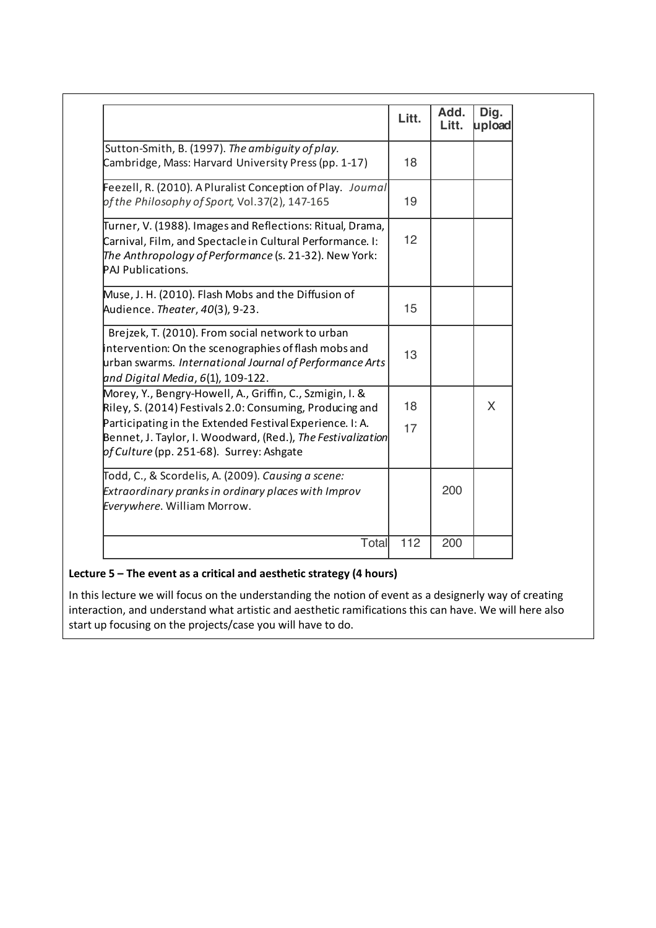|                                                                                                                                                                                                                                                                                                    | Litt.    | Add.<br>Litt. | Dig.<br>upload |
|----------------------------------------------------------------------------------------------------------------------------------------------------------------------------------------------------------------------------------------------------------------------------------------------------|----------|---------------|----------------|
| Sutton-Smith, B. (1997). The ambiguity of play.<br>Cambridge, Mass: Harvard University Press (pp. 1-17)                                                                                                                                                                                            | 18       |               |                |
| Feezell, R. (2010). A Pluralist Conception of Play. Journal<br>of the Philosophy of Sport, Vol.37(2), 147-165                                                                                                                                                                                      | 19       |               |                |
| Turner, V. (1988). Images and Reflections: Ritual, Drama,<br>Carnival, Film, and Spectacle in Cultural Performance. I:<br>The Anthropology of Performance (s. 21-32). New York:<br>PAJ Publications.                                                                                               | 12       |               |                |
| Muse, J. H. (2010). Flash Mobs and the Diffusion of<br>Audience. Theater, 40(3), 9-23.                                                                                                                                                                                                             | 15       |               |                |
| Brejzek, T. (2010). From social network to urban<br>intervention: On the scenographies of flash mobs and<br>urban swarms. International Journal of Performance Arts<br>and Digital Media, 6(1), 109-122.                                                                                           | 13       |               |                |
| Morey, Y., Bengry-Howell, A., Griffin, C., Szmigin, I. &<br>Riley, S. (2014) Festivals 2.0: Consuming, Producing and<br>Participating in the Extended Festival Experience. I: A.<br>Bennet, J. Taylor, I. Woodward, (Red.), <i>The Festivalization</i><br>pf Culture (pp. 251-68). Surrey: Ashgate | 18<br>17 |               | X              |
| Todd, C., & Scordelis, A. (2009). Causing a scene:<br>Extraordinary pranks in ordinary places with Improv<br>Everywhere. William Morrow.                                                                                                                                                           |          | 200           |                |
| Total                                                                                                                                                                                                                                                                                              | 112      | 200           |                |
|                                                                                                                                                                                                                                                                                                    |          |               |                |

# **Lecture 5 – The event as a critical and aesthetic strategy (4 hours)**

In this lecture we will focus on the understanding the notion of event as a designerly way of creating interaction, and understand what artistic and aesthetic ramifications this can have. We will here also start up focusing on the projects/case you will have to do.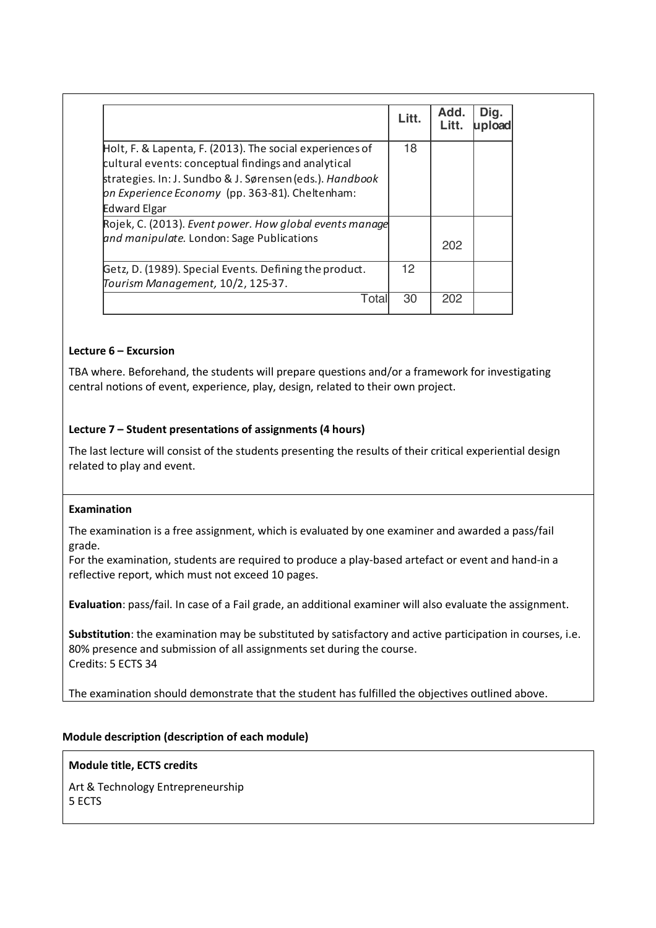|                                                                                                                 | Litt. | Add.<br>Litt. | Dig.<br>upload |
|-----------------------------------------------------------------------------------------------------------------|-------|---------------|----------------|
| Holt, F. & Lapenta, F. (2013). The social experiences of<br>cultural events: conceptual findings and analytical | 18    |               |                |
| strategies. In: J. Sundbo & J. Sørensen (eds.). Handbook<br>on Experience Economy (pp. 363-81). Cheltenham:     |       |               |                |
| <b>Edward Elgar</b>                                                                                             |       |               |                |
| Rojek, C. (2013). Event power. How global events manage                                                         |       |               |                |
| and manipulate. London: Sage Publications                                                                       |       | 202           |                |
| Getz, D. (1989). Special Events. Defining the product.<br>Tourism Management, 10/2, 125-37.                     | 12.   |               |                |
| Total                                                                                                           | 30    | 202           |                |

## **Lecture 6 – Excursion**

TBA where. Beforehand, the students will prepare questions and/or a framework for investigating central notions of event, experience, play, design, related to their own project.

### **Lecture 7 – Student presentations of assignments (4 hours)**

The last lecture will consist of the students presenting the results of their critical experiential design related to play and event.

### **Examination**

The examination is a free assignment, which is evaluated by one examiner and awarded a pass/fail grade.

For the examination, students are required to produce a play-based artefact or event and hand-in a reflective report, which must not exceed 10 pages.

**Evaluation**: pass/fail. In case of a Fail grade, an additional examiner will also evaluate the assignment.

**Substitution**: the examination may be substituted by satisfactory and active participation in courses, i.e. 80% presence and submission of all assignments set during the course. Credits: 5 ECTS 34

The examination should demonstrate that the student has fulfilled the objectives outlined above.

### **Module description (description of each module)**

### **Module title, ECTS credits**

Art & Technology Entrepreneurship 5 ECTS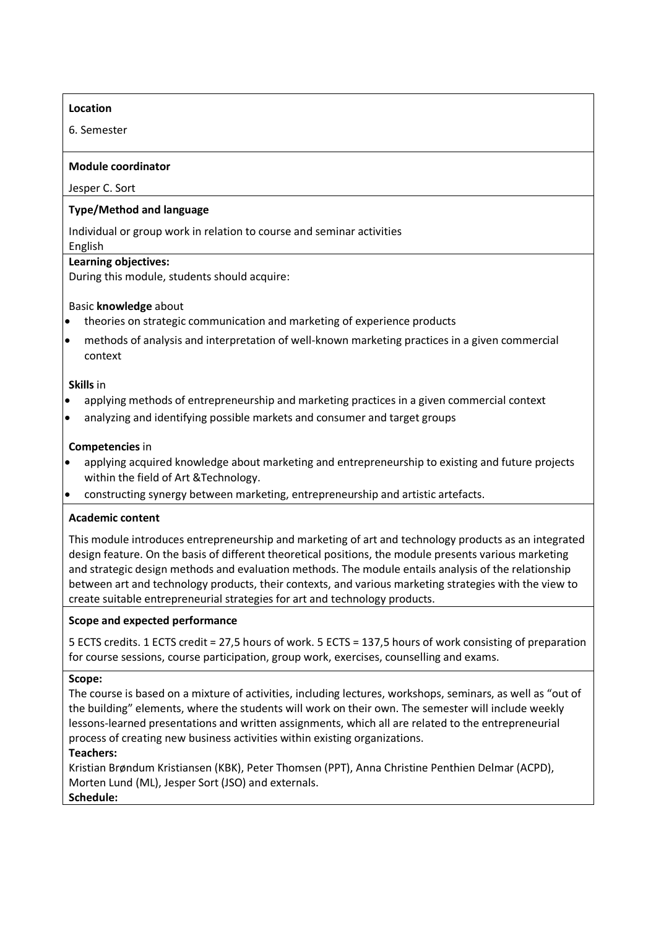## **Location**

6. Semester

### **Module coordinator**

Jesper C. Sort

### **Type/Method and language**

Individual or group work in relation to course and seminar activities

# English

# **Learning objectives:**

During this module, students should acquire:

## Basic **knowledge** about

- theories on strategic communication and marketing of experience products
- methods of analysis and interpretation of well-known marketing practices in a given commercial context

### **Skills** in

- applying methods of entrepreneurship and marketing practices in a given commercial context
- analyzing and identifying possible markets and consumer and target groups

## **Competencies** in

- applying acquired knowledge about marketing and entrepreneurship to existing and future projects within the field of Art &Technology.
- constructing synergy between marketing, entrepreneurship and artistic artefacts.

## **Academic content**

This module introduces entrepreneurship and marketing of art and technology products as an integrated design feature. On the basis of different theoretical positions, the module presents various marketing and strategic design methods and evaluation methods. The module entails analysis of the relationship between art and technology products, their contexts, and various marketing strategies with the view to create suitable entrepreneurial strategies for art and technology products.

## **Scope and expected performance**

5 ECTS credits. 1 ECTS credit = 27,5 hours of work. 5 ECTS = 137,5 hours of work consisting of preparation for course sessions, course participation, group work, exercises, counselling and exams.

### **Scope:**

The course is based on a mixture of activities, including lectures, workshops, seminars, as well as "out of the building" elements, where the students will work on their own. The semester will include weekly lessons-learned presentations and written assignments, which all are related to the entrepreneurial process of creating new business activities within existing organizations.

# **Teachers:**

Kristian Brøndum Kristiansen (KBK), Peter Thomsen (PPT), Anna Christine Penthien Delmar (ACPD), Morten Lund (ML), Jesper Sort (JSO) and externals. **Schedule:**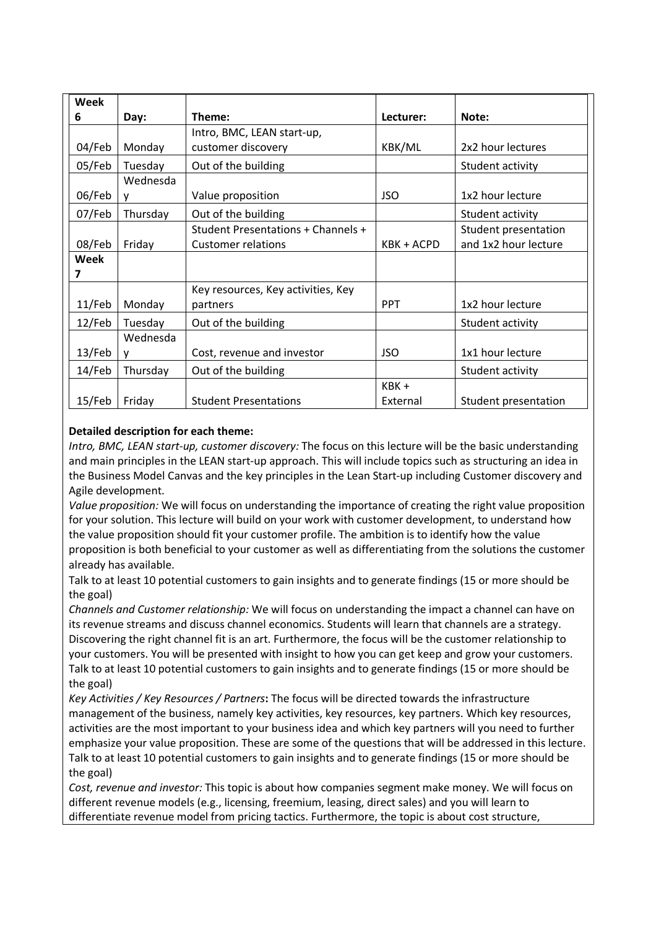| Week<br>6 | Day:          | Theme:                                                          | Lecturer:        | Note:                                        |
|-----------|---------------|-----------------------------------------------------------------|------------------|----------------------------------------------|
|           |               | Intro, BMC, LEAN start-up,                                      |                  |                                              |
| 04/Feb    | Monday        | customer discovery                                              | KBK/ML           | 2x2 hour lectures                            |
| 05/Feb    | Tuesday       | Out of the building                                             |                  | Student activity                             |
| 06/Feb    | Wednesda<br>v | Value proposition                                               | <b>JSO</b>       | 1x2 hour lecture                             |
| 07/Feb    | Thursday      | Out of the building                                             |                  | Student activity                             |
| 08/Feb    | Friday        | Student Presentations + Channels +<br><b>Customer relations</b> | KBK + ACPD       | Student presentation<br>and 1x2 hour lecture |
| Week<br>7 |               |                                                                 |                  |                                              |
| $11$ /Feb | Monday        | Key resources, Key activities, Key<br>partners                  | <b>PPT</b>       | 1x2 hour lecture                             |
| $12$ /Feb | Tuesday       | Out of the building                                             |                  | Student activity                             |
| $13$ /Feb | Wednesda<br>v | Cost, revenue and investor                                      | <b>JSO</b>       | 1x1 hour lecture                             |
| 14/Feb    | Thursday      | Out of the building                                             |                  | Student activity                             |
| $15$ /Feb | Friday        | <b>Student Presentations</b>                                    | KBK+<br>External | Student presentation                         |

# **Detailed description for each theme:**

*Intro, BMC, LEAN start-up, customer discovery:* The focus on this lecture will be the basic understanding and main principles in the LEAN start-up approach. This will include topics such as structuring an idea in the Business Model Canvas and the key principles in the Lean Start-up including Customer discovery and Agile development.

*Value proposition:* We will focus on understanding the importance of creating the right value proposition for your solution. This lecture will build on your work with customer development, to understand how the value proposition should fit your customer profile. The ambition is to identify how the value proposition is both beneficial to your customer as well as differentiating from the solutions the customer already has available.

Talk to at least 10 potential customers to gain insights and to generate findings (15 or more should be the goal)

*Channels and Customer relationship:* We will focus on understanding the impact a channel can have on its revenue streams and discuss channel economics. Students will learn that channels are a strategy. Discovering the right channel fit is an art. Furthermore, the focus will be the customer relationship to your customers. You will be presented with insight to how you can get keep and grow your customers. Talk to at least 10 potential customers to gain insights and to generate findings (15 or more should be the goal)

*Key Activities / Key Resources / Partners***:** The focus will be directed towards the infrastructure management of the business, namely key activities, key resources, key partners. Which key resources, activities are the most important to your business idea and which key partners will you need to further emphasize your value proposition. These are some of the questions that will be addressed in this lecture. Talk to at least 10 potential customers to gain insights and to generate findings (15 or more should be the goal)

*Cost, revenue and investor:* This topic is about how companies segment make money. We will focus on different revenue models (e.g., licensing, freemium, leasing, direct sales) and you will learn to differentiate revenue model from pricing tactics. Furthermore, the topic is about cost structure,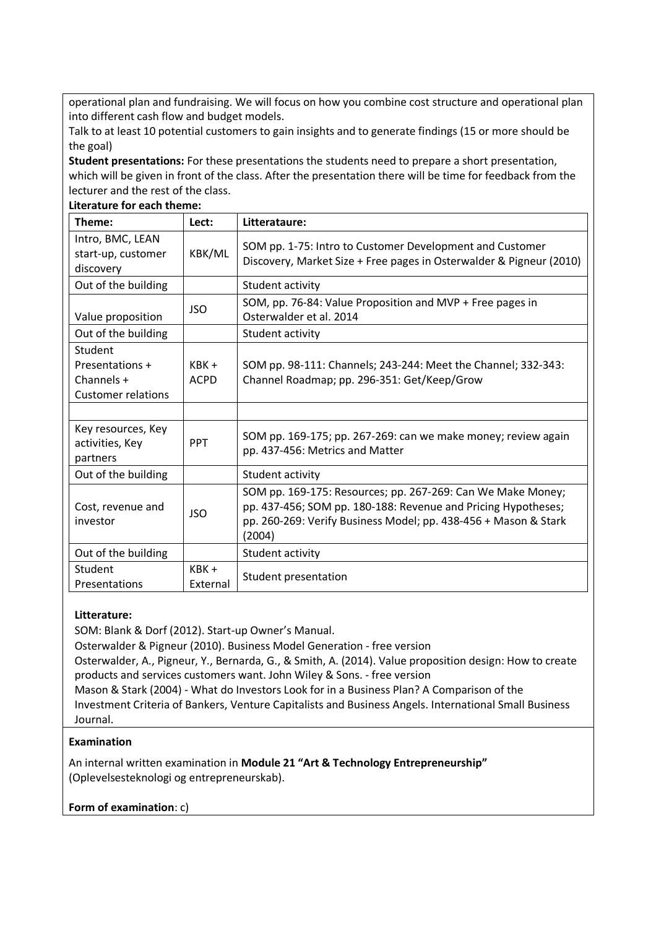operational plan and fundraising. We will focus on how you combine cost structure and operational plan into different cash flow and budget models.

Talk to at least 10 potential customers to gain insights and to generate findings (15 or more should be the goal)

**Student presentations:** For these presentations the students need to prepare a short presentation, which will be given in front of the class. After the presentation there will be time for feedback from the lecturer and the rest of the class.

**Literature for each theme:**

| Theme:                                                                  | Lect:                  | Litterataure:                                                                                                                                                                                             |
|-------------------------------------------------------------------------|------------------------|-----------------------------------------------------------------------------------------------------------------------------------------------------------------------------------------------------------|
| Intro, BMC, LEAN<br>start-up, customer<br>discovery                     | KBK/ML                 | SOM pp. 1-75: Intro to Customer Development and Customer<br>Discovery, Market Size + Free pages in Osterwalder & Pigneur (2010)                                                                           |
| Out of the building                                                     |                        | Student activity                                                                                                                                                                                          |
| Value proposition                                                       | <b>JSO</b>             | SOM, pp. 76-84: Value Proposition and MVP + Free pages in<br>Osterwalder et al. 2014                                                                                                                      |
| Out of the building                                                     |                        | Student activity                                                                                                                                                                                          |
| Student<br>Presentations +<br>Channels $+$<br><b>Customer relations</b> | $KBK +$<br><b>ACPD</b> | SOM pp. 98-111: Channels; 243-244: Meet the Channel; 332-343:<br>Channel Roadmap; pp. 296-351: Get/Keep/Grow                                                                                              |
|                                                                         |                        |                                                                                                                                                                                                           |
| Key resources, Key<br>activities, Key<br>partners                       | <b>PPT</b>             | SOM pp. 169-175; pp. 267-269: can we make money; review again<br>pp. 437-456: Metrics and Matter                                                                                                          |
| Out of the building                                                     |                        | Student activity                                                                                                                                                                                          |
| Cost, revenue and<br>investor                                           | <b>JSO</b>             | SOM pp. 169-175: Resources; pp. 267-269: Can We Make Money;<br>pp. 437-456; SOM pp. 180-188: Revenue and Pricing Hypotheses;<br>pp. 260-269: Verify Business Model; pp. 438-456 + Mason & Stark<br>(2004) |
| Out of the building                                                     |                        | Student activity                                                                                                                                                                                          |
| Student<br>Presentations                                                | $KBK +$<br>External    | Student presentation                                                                                                                                                                                      |

### **Litterature:**

SOM: Blank & Dorf (2012). Start-up Owner's Manual.

Osterwalder & Pigneur (2010). Business Model Generation - free version

Osterwalder, A., Pigneur, Y., Bernarda, G., & Smith, A. (2014). Value proposition design: How to create products and services customers want. John Wiley & Sons. - free version

Mason & Stark (2004) - What do Investors Look for in a Business Plan? A Comparison of the Investment Criteria of Bankers, Venture Capitalists and Business Angels. International Small Business Journal.

### **Examination**

An internal written examination in **Module 21 "Art & Technology Entrepreneurship"**  (Oplevelsesteknologi og entrepreneurskab).

## **Form of examination**: c)